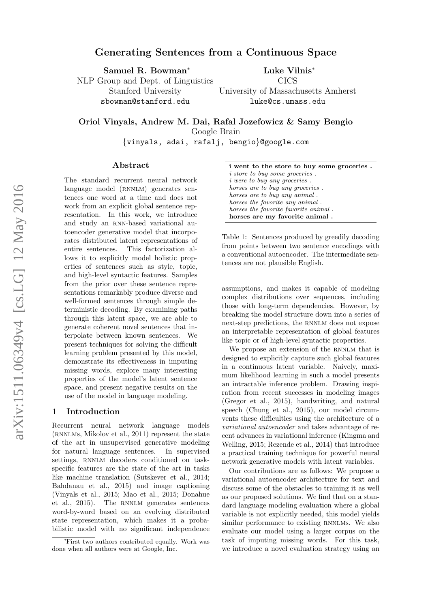# Generating Sentences from a Continuous Space

Samuel R. Bowman<sup>∗</sup>

NLP Group and Dept. of Linguistics Stanford University sbowman@stanford.edu

Luke Vilnis<sup>∗</sup>

CICS University of Massachusetts Amherst luke@cs.umass.edu

Oriol Vinyals, Andrew M. Dai, Rafal Jozefowicz & Samy Bengio

Google Brain

{vinyals, adai, rafalj, bengio}@google.com

### Abstract

The standard recurrent neural network language model (RNNLM) generates sentences one word at a time and does not work from an explicit global sentence representation. In this work, we introduce and study an rnn-based variational autoencoder generative model that incorporates distributed latent representations of entire sentences. This factorization allows it to explicitly model holistic properties of sentences such as style, topic, and high-level syntactic features. Samples from the prior over these sentence representations remarkably produce diverse and well-formed sentences through simple deterministic decoding. By examining paths through this latent space, we are able to generate coherent novel sentences that interpolate between known sentences. We present techniques for solving the difficult learning problem presented by this model, demonstrate its effectiveness in imputing missing words, explore many interesting properties of the model's latent sentence space, and present negative results on the use of the model in language modeling.

#### 1 Introduction

Recurrent neural network language models (rnnlms, [Mikolov et al.,](#page-8-0) [2011\)](#page-8-0) represent the state of the art in unsupervised generative modeling for natural language sentences. In supervised settings, RNNLM decoders conditioned on taskspecific features are the state of the art in tasks like machine translation [\(Sutskever et al.,](#page-9-0) [2014;](#page-9-0) [Bahdanau et al.,](#page-8-1) [2015\)](#page-8-1) and image captioning [\(Vinyals et al.,](#page-9-1) [2015;](#page-9-1) [Mao et al.,](#page-8-2) [2015;](#page-8-2) [Donahue](#page-8-3) [et al.,](#page-8-3) [2015\)](#page-8-3). The RNNLM generates sentences word-by-word based on an evolving distributed state representation, which makes it a probabilistic model with no significant independence

<span id="page-0-0"></span>

| i went to the store to buy some groceries. |
|--------------------------------------------|
| <i>i</i> store to buy some groceries.      |
| <i>i</i> were to buy any groceries.        |
| horses are to buy any groceries.           |
| horses are to buy any animal.              |
| horses the favorite any animal.            |
| horses the favorite favorite animal.       |
| horses are my favorite animal.             |

Table 1: Sentences produced by greedily decoding from points between two sentence encodings with a conventional autoencoder. The intermediate sentences are not plausible English.

assumptions, and makes it capable of modeling complex distributions over sequences, including those with long-term dependencies. However, by breaking the model structure down into a series of next-step predictions, the RNNLM does not expose an interpretable representation of global features like topic or of high-level syntactic properties.

We propose an extension of the RNNLM that is designed to explicitly capture such global features in a continuous latent variable. Naively, maximum likelihood learning in such a model presents an intractable inference problem. Drawing inspiration from recent successes in modeling images [\(Gregor et al.,](#page-8-4) [2015\)](#page-8-4), handwriting, and natural speech [\(Chung et al.,](#page-8-5) [2015\)](#page-8-5), our model circumvents these difficulties using the architecture of a variational autoencoder and takes advantage of recent advances in variational inference [\(Kingma and](#page-8-6) [Welling,](#page-8-6) [2015;](#page-8-6) [Rezende et al.,](#page-9-2) [2014\)](#page-9-2) that introduce a practical training technique for powerful neural network generative models with latent variables.

Our contributions are as follows: We propose a variational autoencoder architecture for text and discuss some of the obstacles to training it as well as our proposed solutions. We find that on a standard language modeling evaluation where a global variable is not explicitly needed, this model yields similar performance to existing RNNLMs. We also evaluate our model using a larger corpus on the task of imputing missing words. For this task, we introduce a novel evaluation strategy using an

<sup>∗</sup>First two authors contributed equally. Work was done when all authors were at Google, Inc.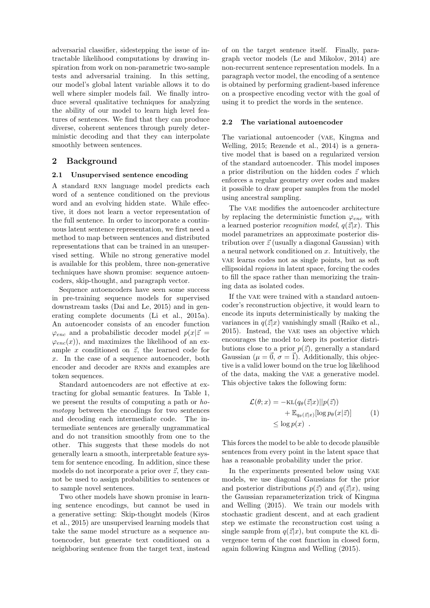adversarial classifier, sidestepping the issue of intractable likelihood computations by drawing inspiration from work on non-parametric two-sample tests and adversarial training. In this setting, our model's global latent variable allows it to do well where simpler models fail. We finally introduce several qualitative techniques for analyzing the ability of our model to learn high level features of sentences. We find that they can produce diverse, coherent sentences through purely deterministic decoding and that they can interpolate smoothly between sentences.

### 2 Background

#### 2.1 Unsupervised sentence encoding

A standard RNN language model predicts each word of a sentence conditioned on the previous word and an evolving hidden state. While effective, it does not learn a vector representation of the full sentence. In order to incorporate a continuous latent sentence representation, we first need a method to map between sentences and distributed representations that can be trained in an unsupervised setting. While no strong generative model is available for this problem, three non-generative techniques have shown promise: sequence autoencoders, skip-thought, and paragraph vector.

Sequence autoencoders have seen some success in pre-training sequence models for supervised downstream tasks [\(Dai and Le,](#page-8-7) [2015\)](#page-8-7) and in generating complete documents [\(Li et al.,](#page-8-8) [2015a\)](#page-8-8). An autoencoder consists of an encoder function  $\varphi_{enc}$  and a probabilistic decoder model  $p(x|\vec{z})$  $\varphi_{enc}(x)$ , and maximizes the likelihood of an example x conditioned on  $\vec{z}$ , the learned code for x. In the case of a sequence autoencoder, both encoder and decoder are RNNs and examples are token sequences.

Standard autoencoders are not effective at extracting for global semantic features. In Table [1,](#page-0-0) we present the results of computing a path or homotopy between the encodings for two sentences and decoding each intermediate code. The intermediate sentences are generally ungrammatical and do not transition smoothly from one to the other. This suggests that these models do not generally learn a smooth, interpretable feature system for sentence encoding. In addition, since these models do not incorporate a prior over  $\vec{z}$ , they cannot be used to assign probabilities to sentences or to sample novel sentences.

Two other models have shown promise in learning sentence encodings, but cannot be used in a generative setting: Skip-thought models [\(Kiros](#page-8-9) [et al.,](#page-8-9) [2015\)](#page-8-9) are unsupervised learning models that take the same model structure as a sequence autoencoder, but generate text conditioned on a neighboring sentence from the target text, instead

of on the target sentence itself. Finally, paragraph vector models [\(Le and Mikolov,](#page-8-10) [2014\)](#page-8-10) are non-recurrent sentence representation models. In a paragraph vector model, the encoding of a sentence is obtained by performing gradient-based inference on a prospective encoding vector with the goal of using it to predict the words in the sentence.

#### 2.2 The variational autoencoder

The variational autoencoder (VAE, [Kingma and](#page-8-6) [Welling,](#page-8-6) [2015;](#page-8-6) [Rezende et al.,](#page-9-2) [2014\)](#page-9-2) is a generative model that is based on a regularized version of the standard autoencoder. This model imposes a prior distribution on the hidden codes  $\vec{z}$  which enforces a regular geometry over codes and makes it possible to draw proper samples from the model using ancestral sampling.

The VAE modifies the autoencoder architecture by replacing the deterministic function  $\varphi_{enc}$  with a learned posterior *recognition model*,  $q(\vec{z}|x)$ . This model parametrizes an approximate posterior distribution over  $\vec{z}$  (usually a diagonal Gaussian) with a neural network conditioned on x. Intuitively, the vae learns codes not as single points, but as soft ellipsoidal regions in latent space, forcing the codes to fill the space rather than memorizing the training data as isolated codes.

If the VAE were trained with a standard autoencoder's reconstruction objective, it would learn to encode its inputs deterministically by making the variances in  $q(\vec{z}|x)$  vanishingly small [\(Raiko et al.,](#page-9-3) [2015\)](#page-9-3). Instead, the vae uses an objective which encourages the model to keep its posterior distributions close to a prior  $p(\vec{z})$ , generally a standard Gaussian ( $\mu = \vec{0}, \sigma = \vec{1}$ ). Additionally, this objective is a valid lower bound on the true log likelihood of the data, making the vae a generative model. This objective takes the following form:

<span id="page-1-0"></span>
$$
\mathcal{L}(\theta; x) = -\text{KL}(q_{\theta}(\vec{z}|x)||p(\vec{z})) \n+ \mathbb{E}_{q_{\theta}(\vec{z}|x)}[\log p_{\theta}(x|\vec{z})] \n\leq \log p(x) .
$$
\n(1)

This forces the model to be able to decode plausible sentences from every point in the latent space that has a reasonable probability under the prior.

In the experiments presented below using VAE models, we use diagonal Gaussians for the prior and posterior distributions  $p(\vec{z})$  and  $q(\vec{z}|x)$ , using the Gaussian reparameterization trick of [Kingma](#page-8-6) [and Welling](#page-8-6) [\(2015\)](#page-8-6). We train our models with stochastic gradient descent, and at each gradient step we estimate the reconstruction cost using a single sample from  $q(\vec{z}|x)$ , but compute the KL divergence term of the cost function in closed form, again following [Kingma and Welling](#page-8-6) [\(2015\)](#page-8-6).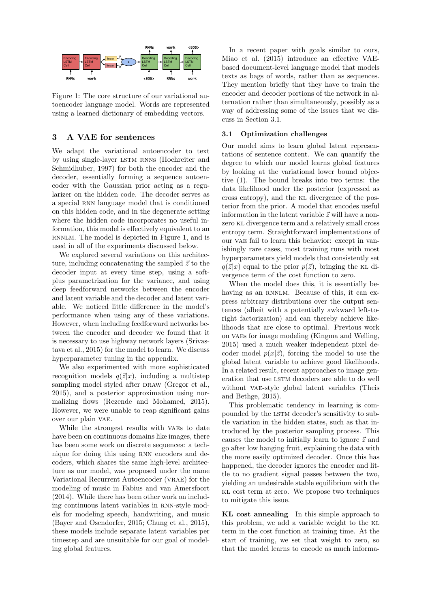<span id="page-2-0"></span>

Figure 1: The core structure of our variational autoencoder language model. Words are represented using a learned dictionary of embedding vectors.

#### 3 A VAE for sentences

We adapt the variational autoencoder to text by using single-layer LSTM RNNs [\(Hochreiter and](#page-8-11) [Schmidhuber,](#page-8-11) [1997\)](#page-8-11) for both the encoder and the decoder, essentially forming a sequence autoencoder with the Gaussian prior acting as a regularizer on the hidden code. The decoder serves as a special RNN language model that is conditioned on this hidden code, and in the degenerate setting where the hidden code incorporates no useful information, this model is effectively equivalent to an RNNLM. The model is depicted in Figure [1,](#page-2-0) and is used in all of the experiments discussed below.

We explored several variations on this architecture, including concatenating the sampled  $\vec{z}$  to the decoder input at every time step, using a softplus parametrization for the variance, and using deep feedforward networks between the encoder and latent variable and the decoder and latent variable. We noticed little difference in the model's performance when using any of these variations. However, when including feedforward networks between the encoder and decoder we found that it is necessary to use highway network layers [\(Srivas](#page-9-4)[tava et al.,](#page-9-4) [2015\)](#page-9-4) for the model to learn. We discuss hyperparameter tuning in the appendix.

We also experimented with more sophisticated recognition models  $q(\vec{z}|x)$ , including a multistep sampling model styled after DRAW [\(Gregor et al.,](#page-8-4) [2015\)](#page-8-4), and a posterior approximation using normalizing flows [\(Rezende and Mohamed,](#page-9-5) [2015\)](#page-9-5). However, we were unable to reap significant gains over our plain vae.

While the strongest results with VAEs to date have been on continuous domains like images, there has been some work on discrete sequences: a technique for doing this using RNN encoders and decoders, which shares the same high-level architecture as our model, was proposed under the name Variational Recurrent Autoencoder (VRAE) for the modeling of music in [Fabius and van Amersfoort](#page-8-12) [\(2014\)](#page-8-12). While there has been other work on including continuous latent variables in rnn-style models for modeling speech, handwriting, and music [\(Bayer and Osendorfer,](#page-8-13) [2015;](#page-8-13) [Chung et al.,](#page-8-5) [2015\)](#page-8-5), these models include separate latent variables per timestep and are unsuitable for our goal of modeling global features.

In a recent paper with goals similar to ours, [Miao et al.](#page-8-14) [\(2015\)](#page-8-14) introduce an effective VAEbased document-level language model that models texts as bags of words, rather than as sequences. They mention briefly that they have to train the encoder and decoder portions of the network in alternation rather than simultaneously, possibly as a way of addressing some of the issues that we discuss in Section [3.1.](#page-2-1)

#### <span id="page-2-1"></span>3.1 Optimization challenges

Our model aims to learn global latent representations of sentence content. We can quantify the degree to which our model learns global features by looking at the variational lower bound objective [\(1\)](#page-1-0). The bound breaks into two terms: the data likelihood under the posterior (expressed as cross entropy), and the kl divergence of the posterior from the prior. A model that encodes useful information in the latent variable  $\vec{z}$  will have a nonzero kl divergence term and a relatively small cross entropy term. Straightforward implementations of our VAE fail to learn this behavior: except in vanishingly rare cases, most training runs with most hyperparameters yield models that consistently set  $q(\vec{z}|x)$  equal to the prior  $p(\vec{z})$ , bringing the KL divergence term of the cost function to zero.

When the model does this, it is essentially behaving as an RNNLM. Because of this, it can express arbitrary distributions over the output sentences (albeit with a potentially awkward left-toright factorization) and can thereby achieve likelihoods that are close to optimal. Previous work on vaes for image modeling [\(Kingma and Welling,](#page-8-6) [2015\)](#page-8-6) used a much weaker independent pixel decoder model  $p(x|\vec{z})$ , forcing the model to use the global latent variable to achieve good likelihoods. In a related result, recent approaches to image generation that use LSTM decoders are able to do well without VAE-style global latent variables [\(Theis](#page-9-6) [and Bethge,](#page-9-6) [2015\)](#page-9-6).

This problematic tendency in learning is compounded by the LSTM decoder's sensitivity to subtle variation in the hidden states, such as that introduced by the posterior sampling process. This causes the model to initially learn to ignore  $\vec{z}$  and go after low hanging fruit, explaining the data with the more easily optimized decoder. Once this has happened, the decoder ignores the encoder and little to no gradient signal passes between the two, yielding an undesirable stable equilibrium with the kl cost term at zero. We propose two techniques to mitigate this issue.

KL cost annealing In this simple approach to this problem, we add a variable weight to the kl term in the cost function at training time. At the start of training, we set that weight to zero, so that the model learns to encode as much informa-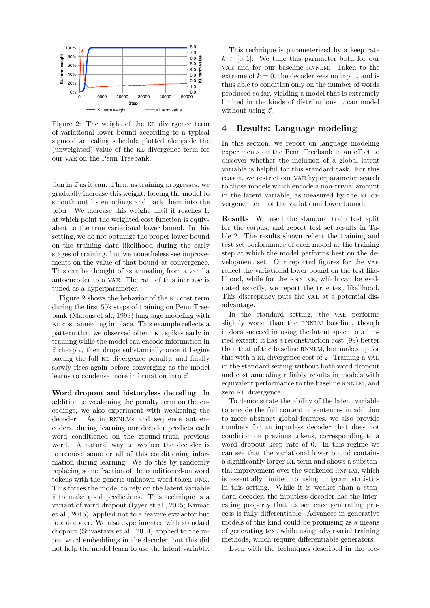<span id="page-3-0"></span>

Figure 2: The weight of the KL divergence term of variational lower bound according to a typical sigmoid annealing schedule plotted alongside the  $\frac{1}{2}$ (unweighted) value of the KL divergence term for our VAE on the Penn Treebank.

tion in  $\vec{z}$  as it can. Then, as training progresses, we gradually increase this weight, forcing the model to smooth out its encodings and pack them into the prior. We increase this weight until it reaches 1, at which point the weighted cost function is equivalent to the true variational lower bound. In this setting, we do not optimize the proper lower bound on the training data likelihood during the early stages of training, but we nonetheless see improvements on the value of that bound at convergence. This can be thought of as annealing from a vanilla autoencoder to a vae. The rate of this increase is tuned as a hyperparameter.

Figure [2](#page-3-0) shows the behavior of the kl cost term during the first 50k steps of training on Penn Treebank [\(Marcus et al.,](#page-8-15) [1993\)](#page-8-15) language modeling with kl cost annealing in place. This example reflects a pattern that we observed often: kl spikes early in training while the model can encode information in  $\vec{z}$  cheaply, then drops substantially once it begins paying the full kl divergence penalty, and finally slowly rises again before converging as the model learns to condense more information into  $\vec{z}$ .

Word dropout and historyless decoding In addition to weakening the penalty term on the encodings, we also experiment with weakening the decoder. As in RNNLMs and sequence autoencoders, during learning our decoder predicts each word conditioned on the ground-truth previous word. A natural way to weaken the decoder is to remove some or all of this conditioning information during learning. We do this by randomly replacing some fraction of the conditioned-on word tokens with the generic unknown word token unk. This forces the model to rely on the latent variable  $\vec{z}$  to make good predictions. This technique is a variant of word dropout [\(Iyyer et al.,](#page-8-16) [2015;](#page-8-16) [Kumar](#page-8-17) [et al.,](#page-8-17) [2015\)](#page-8-17), applied not to a feature extractor but to a decoder. We also experimented with standard dropout [\(Srivastava et al.,](#page-9-7) [2014\)](#page-9-7) applied to the input word embeddings in the decoder, but this did not help the model learn to use the latent variable.

This technique is parameterized by a keep rate  $k \in [0, 1]$ . We tune this parameter both for our vae and for our baseline RNNLM. Taken to the extreme of  $k = 0$ , the decoder sees no input, and is thus able to condition only on the number of words produced so far, yielding a model that is extremely limited in the kinds of distributions it can model without using  $\vec{z}$ .

# <span id="page-3-1"></span>4 Results: Language modeling

In this section, we report on language modeling experiments on the Penn Treebank in an effort to discover whether the inclusion of a global latent variable is helpful for this standard task. For this reason, we restrict our vae hyperparameter search to those models which encode a non-trivial amount in the latent variable, as measured by the kl divergence term of the variational lower bound.

Results We used the standard train–test split for the corpus, and report test set results in Table [2.](#page-4-0) The results shown reflect the training and test set performance of each model at the training step at which the model performs best on the development set. Our reported figures for the vae reflect the variational lower bound on the test likelihood, while for the RNNLMs, which can be evaluated exactly, we report the true test likelihood. This discrepancy puts the vae at a potential disadvantage.

In the standard setting, the vae performs slightly worse than the RNNLM baseline, though it does succeed in using the latent space to a limited extent: it has a reconstruction cost (99) better than that of the baseline RNNLM, but makes up for this with a kl divergence cost of 2. Training a vae in the standard setting without both word dropout and cost annealing reliably results in models with equivalent performance to the baseline RNNLM, and zero kl divergence.

To demonstrate the ability of the latent variable to encode the full content of sentences in addition to more abstract global features, we also provide numbers for an inputless decoder that does not condition on previous tokens, corresponding to a word dropout keep rate of 0. In this regime we can see that the variational lower bound contains a significantly larger kl term and shows a substantial improvement over the weakened RNNLM, which is essentially limited to using unigram statistics in this setting. While it is weaker than a standard decoder, the inputless decoder has the interesting property that its sentence generating process is fully differentiable. Advances in generative models of this kind could be promising as a means of generating text while using adversarial training methods, which require differentiable generators.

Even with the techniques described in the pre-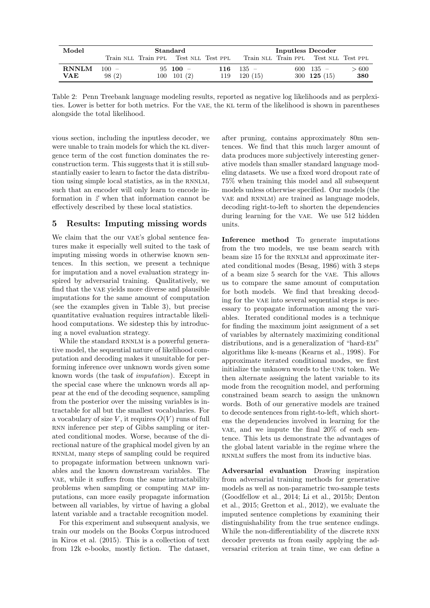<span id="page-4-0"></span>

| Model        | $\operatorname{Standard}$ |  |                                       | Inputless Decoder |                   |  |                                       |      |
|--------------|---------------------------|--|---------------------------------------|-------------------|-------------------|--|---------------------------------------|------|
|              |                           |  | Train NLL Train PPL Test NLL Test PPL |                   |                   |  | Train NLL Train PPL Test NLL Test PPL |      |
| <b>RNNLM</b> | $100 -$                   |  | $95 \quad 100 =$                      |                   | $116 \quad 135 =$ |  | $600 \quad 135 -$                     | >600 |
| <b>VAE</b>   | 98(2)                     |  | $100 \quad 101 \tag{2}$               | 119               | 120(15)           |  | 300 $125(15)$                         | 380  |

Table 2: Penn Treebank language modeling results, reported as negative log likelihoods and as perplexities. Lower is better for both metrics. For the vae, the KL term of the likelihood is shown in parentheses alongside the total likelihood.

vious section, including the inputless decoder, we were unable to train models for which the KL divergence term of the cost function dominates the reconstruction term. This suggests that it is still substantially easier to learn to factor the data distribution using simple local statistics, as in the RNNLM, such that an encoder will only learn to encode information in  $\vec{z}$  when that information cannot be effectively described by these local statistics.

# 5 Results: Imputing missing words

We claim that the our VAE's global sentence features make it especially well suited to the task of imputing missing words in otherwise known sentences. In this section, we present a technique for imputation and a novel evaluation strategy inspired by adversarial training. Qualitatively, we find that the vae yields more diverse and plausible imputations for the same amount of computation (see the examples given in Table [3\)](#page-5-0), but precise quantitative evaluation requires intractable likelihood computations. We sidestep this by introducing a novel evaluation strategy.

While the standard RNNLM is a powerful generative model, the sequential nature of likelihood computation and decoding makes it unsuitable for performing inference over unknown words given some known words (the task of imputation). Except in the special case where the unknown words all appear at the end of the decoding sequence, sampling from the posterior over the missing variables is intractable for all but the smallest vocabularies. For a vocabulary of size V, it requires  $O(V)$  runs of full RNN inference per step of Gibbs sampling or iterated conditional modes. Worse, because of the directional nature of the graphical model given by an RNNLM, many steps of sampling could be required to propagate information between unknown variables and the known downstream variables. The vae, while it suffers from the same intractability problems when sampling or computing map imputations, can more easily propagate information between all variables, by virtue of having a global latent variable and a tractable recognition model.

For this experiment and subsequent analysis, we train our models on the Books Corpus introduced in [Kiros et al.](#page-8-9) [\(2015\)](#page-8-9). This is a collection of text from 12k e-books, mostly fiction. The dataset,

after pruning, contains approximately 80m sentences. We find that this much larger amount of data produces more subjectively interesting generative models than smaller standard language modeling datasets. We use a fixed word dropout rate of 75% when training this model and all subsequent models unless otherwise specified. Our models (the vae and RNNLM) are trained as language models, decoding right-to-left to shorten the dependencies during learning for the VAE. We use 512 hidden units.

Inference method To generate imputations from the two models, we use beam search with beam size 15 for the RNNLM and approximate iterated conditional modes [\(Besag,](#page-8-18) [1986\)](#page-8-18) with 3 steps of a beam size 5 search for the vae. This allows us to compare the same amount of computation for both models. We find that breaking decoding for the vae into several sequential steps is necessary to propagate information among the variables. Iterated conditional modes is a technique for finding the maximum joint assignment of a set of variables by alternately maximizing conditional distributions, and is a generalization of "hard-em" algorithms like k-means [\(Kearns et al.,](#page-8-19) [1998\)](#page-8-19). For approximate iterated conditional modes, we first initialize the unknown words to the unk token. We then alternate assigning the latent variable to its mode from the recognition model, and performing constrained beam search to assign the unknown words. Both of our generative models are trained to decode sentences from right-to-left, which shortens the dependencies involved in learning for the vae, and we impute the final  $20\%$  of each sentence. This lets us demonstrate the advantages of the global latent variable in the regime where the RNNLM suffers the most from its inductive bias.

Adversarial evaluation Drawing inspiration from adversarial training methods for generative models as well as non-parametric two-sample tests [\(Goodfellow et al.,](#page-8-20) [2014;](#page-8-20) [Li et al.,](#page-8-21) [2015b;](#page-8-21) [Denton](#page-8-22) [et al.,](#page-8-22) [2015;](#page-8-22) [Gretton et al.,](#page-8-23) [2012\)](#page-8-23), we evaluate the imputed sentence completions by examining their distinguishability from the true sentence endings. While the non-differentiability of the discrete RNN decoder prevents us from easily applying the adversarial criterion at train time, we can define a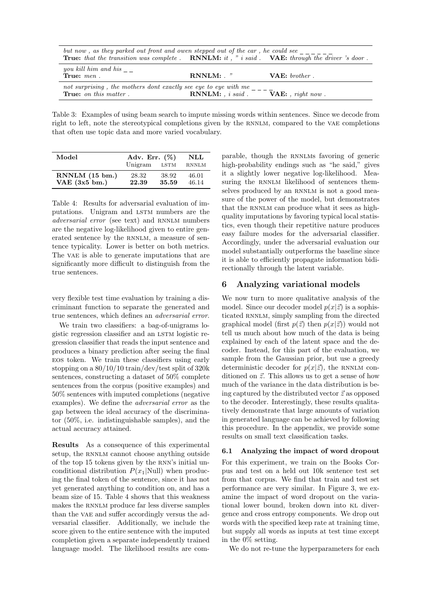<span id="page-5-0"></span>

| but now, as they parked out front and owen stepped out of the car, he could see<br><b>True:</b> that the transition was complete. <b>RNNLM:</b> it, " i said. <b>VAE:</b> through the driver 's door. |                                        |                  |
|-------------------------------------------------------------------------------------------------------------------------------------------------------------------------------------------------------|----------------------------------------|------------------|
| you kill him and his $\overline{\phantom{a}}$<br>True: $men$ .                                                                                                                                        | $RNNLM:$ . "                           | $VAE: brother$ . |
| not surprising, the mothers dont exactly see eye to eye with me<br><b>True:</b> on this matter.                                                                                                       | $RNNLM:$ , i said. $VAE:$ , right now. |                  |

Table 3: Examples of using beam search to impute missing words within sentences. Since we decode from right to left, note the stereotypical completions given by the RNNLM, compared to the VAE completions that often use topic data and more varied vocabulary.

<span id="page-5-1"></span>

| Model                   | Adv. Err. $(\%)$<br>Unigram | NLL<br><b>RNNLM</b> |       |
|-------------------------|-----------------------------|---------------------|-------|
| RNNLM (15 bm.)          | 28.32                       | 38.92               | 46.01 |
| VAE $(3x5 \text{ bm.})$ | 22.39                       | 35.59               | 46.14 |

Table 4: Results for adversarial evaluation of imputations. Unigram and LSTM numbers are the adversarial error (see text) and RNNLM numbers are the negative log-likelihood given to entire generated sentence by the RNNLM, a measure of sentence typicality. Lower is better on both metrics. The value is able to generate imputations that are significantly more difficult to distinguish from the true sentences.

very flexible test time evaluation by training a discriminant function to separate the generated and true sentences, which defines an adversarial error.

We train two classifiers: a bag-of-unigrams logistic regression classifier and an LSTM logistic regression classifier that reads the input sentence and produces a binary prediction after seeing the final eos token. We train these classifiers using early stopping on a 80/10/10 train/dev/test split of 320k sentences, constructing a dataset of 50% complete sentences from the corpus (positive examples) and 50% sentences with imputed completions (negative examples). We define the adversarial error as the gap between the ideal accuracy of the discriminator (50%, i.e. indistinguishable samples), and the actual accuracy attained.

Results As a consequence of this experimental setup, the RNNLM cannot choose anything outside of the top 15 tokens given by the rnn's initial unconditional distribution  $P(x_1|\text{Null})$  when producing the final token of the sentence, since it has not yet generated anything to condition on, and has a beam size of 15. Table [4](#page-5-1) shows that this weakness makes the RNNLM produce far less diverse samples than the vae and suffer accordingly versus the adversarial classifier. Additionally, we include the score given to the entire sentence with the imputed completion given a separate independently trained language model. The likelihood results are com-

parable, though the rnnlms favoring of generic high-probability endings such as "he said," gives it a slightly lower negative log-likelihood. Measuring the RNNLM likelihood of sentences themselves produced by an RNNLM is not a good measure of the power of the model, but demonstrates that the RNNLM can produce what it sees as highquality imputations by favoring typical local statistics, even though their repetitive nature produces easy failure modes for the adversarial classifier. Accordingly, under the adversarial evaluation our model substantially outperforms the baseline since it is able to efficiently propagate information bidirectionally through the latent variable.

# 6 Analyzing variational models

We now turn to more qualitative analysis of the model. Since our decoder model  $p(x|\vec{z})$  is a sophisticated RNNLM, simply sampling from the directed graphical model (first  $p(\vec{z})$  then  $p(x|\vec{z})$ ) would not tell us much about how much of the data is being explained by each of the latent space and the decoder. Instead, for this part of the evaluation, we sample from the Gaussian prior, but use a greedy deterministic decoder for  $p(x|\vec{z})$ , the RNNLM conditioned on  $\vec{z}$ . This allows us to get a sense of how much of the variance in the data distribution is being captured by the distributed vector  $\vec{z}$  as opposed to the decoder. Interestingly, these results qualitatively demonstrate that large amounts of variation in generated language can be achieved by following this procedure. In the appendix, we provide some results on small text classification tasks.

#### 6.1 Analyzing the impact of word dropout

For this experiment, we train on the Books Corpus and test on a held out 10k sentence test set from that corpus. We find that train and test set performance are very similar. In Figure [3,](#page-6-0) we examine the impact of word dropout on the variational lower bound, broken down into kl divergence and cross entropy components. We drop out words with the specified keep rate at training time, but supply all words as inputs at test time except in the 0% setting.

We do not re-tune the hyperparameters for each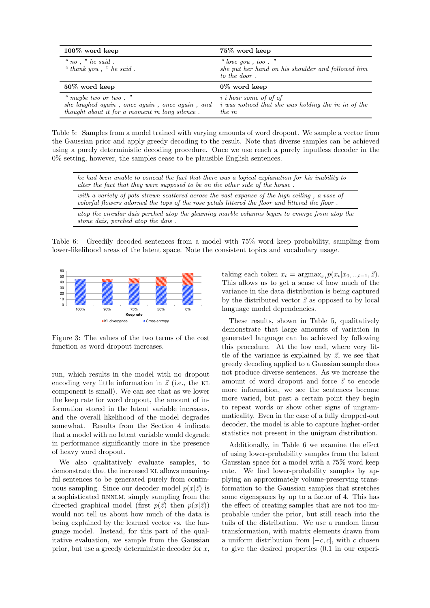<span id="page-6-1"></span>

| $100\%$ word keep                                                                                                        | 75\% word keep                                                                                        |
|--------------------------------------------------------------------------------------------------------------------------|-------------------------------------------------------------------------------------------------------|
| " no, " he said.<br>" thank you, " he said.                                                                              | " love you, too."<br>she put her hand on his shoulder and followed him<br>to the door.                |
| $50\%$ word keep                                                                                                         | $0\%$ word keep                                                                                       |
| " maybe two or two."<br>she laughed again, once again, once again, and<br>thought about it for a moment in long silence. | <i>i i</i> hear some of of of<br><i>i</i> was noticed that she was holding the in in of the<br>the in |

Table 5: Samples from a model trained with varying amounts of word dropout. We sample a vector from the Gaussian prior and apply greedy decoding to the result. Note that diverse samples can be achieved using a purely deterministic decoding procedure. Once we use reach a purely inputless decoder in the 0% setting, however, the samples cease to be plausible English sentences.

<span id="page-6-2"></span>

| he had been unable to conceal the fact that there was a logical explanation for his inability to<br>alter the fact that they were supposed to be on the other side of the house.                  |
|---------------------------------------------------------------------------------------------------------------------------------------------------------------------------------------------------|
| with a variety of pots strewn scattered across the vast expanse of the high ceiling, a vase of<br>colorful flowers adorned the tops of the rose petals littered the floor and littered the floor. |
| atop the circular dais perched atop the gleaming marble columns began to emerge from atop the<br>stone dais, perched atop the dais.                                                               |

Table 6: Greedily decoded sentences from a model with 75% word keep probability, sampling from lower-likelihood areas of the latent space. Note the consistent topics and vocabulary usage.

<span id="page-6-0"></span>

function as word dropout increases. 100% 3.059872 0.000953 3.060872 0.000953 3.059872 0.000953 3.060872 0.000953 3.060872 0.000953 3.060872 0.000 Figure 3: The values of the two terms of the cost

run, which results in the model with no dropout encoding very little information in  $\vec{z}$  (i.e., the KL component is small). We can see that as we lower the keep rate for word dropout, the amount of information stored in the latent variable increases, and the overall likelihood of the model degrades somewhat. Results from the Section [4](#page-3-1) indicate that a model with no latent variable would degrade in performance significantly more in the presence of heavy word dropout.

We also qualitatively evaluate samples, to demonstrate that the increased KL allows meaningful sentences to be generated purely from continuous sampling. Since our decoder model  $p(x|\vec{z})$  is a sophisticated RNNLM, simply sampling from the directed graphical model (first  $p(\vec{z})$  then  $p(x|\vec{z})$ ) would not tell us about how much of the data is being explained by the learned vector vs. the language model. Instead, for this part of the qualitative evaluation, we sample from the Gaussian prior, but use a greedy deterministic decoder for  $x$ ,

taking each token  $x_t = \text{argmax}_{x_t} p(x_t | x_{0,\ldots,t-1}, \vec{z}).$ This allows us to get a sense of how much of the variance in the data distribution is being captured by the distributed vector  $\vec{z}$  as opposed to by local language model dependencies.

These results, shown in Table [5,](#page-6-1) qualitatively demonstrate that large amounts of variation in generated language can be achieved by following this procedure. At the low end, where very little of the variance is explained by  $\vec{z}$ , we see that greedy decoding applied to a Gaussian sample does not produce diverse sentences. As we increase the amount of word dropout and force  $\vec{z}$  to encode more information, we see the sentences become more varied, but past a certain point they begin to repeat words or show other signs of ungrammaticality. Even in the case of a fully dropped-out decoder, the model is able to capture higher-order statistics not present in the unigram distribution.

Additionally, in Table [6](#page-6-2) we examine the effect of using lower-probability samples from the latent Gaussian space for a model with a 75% word keep rate. We find lower-probability samples by applying an approximately volume-preserving transformation to the Gaussian samples that stretches some eigenspaces by up to a factor of 4. This has the effect of creating samples that are not too improbable under the prior, but still reach into the tails of the distribution. We use a random linear transformation, with matrix elements drawn from a uniform distribution from  $[-c, c]$ , with c chosen to give the desired properties (0.1 in our experi-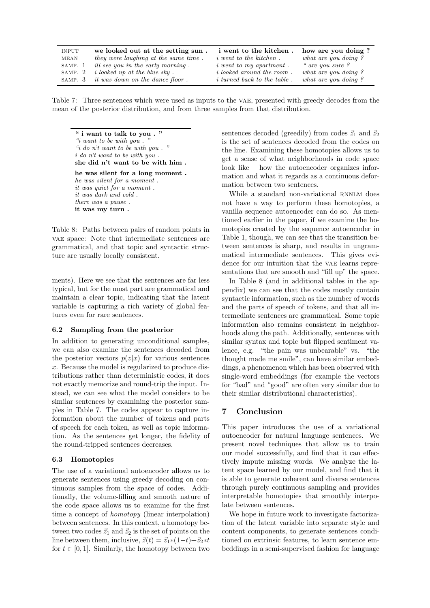<span id="page-7-0"></span>

| <b>INPUT</b> | we looked out at the setting sun.         | i went to the kitchen.             | how are you doing?  |
|--------------|-------------------------------------------|------------------------------------|---------------------|
| MEAN         | they were laughing at the same time.      | <i>i</i> went to the kitchen.      | what are you doing? |
| SAMP. 1      | ill see you in the early morning.         | $i$ went to my apartment.          | " are you sure?     |
| SAMP. 2      | <i>i</i> looked up at the blue sky.       | <i>i</i> looked around the room.   | what are you doing? |
|              | SAMP. $3$ it was down on the dance floor. | <i>i</i> turned back to the table. | what are you doing? |

Table 7: Three sentences which were used as inputs to the vae, presented with greedy decodes from the mean of the posterior distribution, and from three samples from that distribution.

<span id="page-7-1"></span>" i want to talk to you . "  $\lq\lq\lq\lq$  is want to be with you . "i do n't want to be with you." i do n't want to be with you . she did n't want to be with him . he was silent for a long moment . he was silent for a moment . it was quiet for a moment . it was dark and cold .

there was a pause . it was my turn .

Table 8: Paths between pairs of random points in vae space: Note that intermediate sentences are grammatical, and that topic and syntactic structure are usually locally consistent.

ments). Here we see that the sentences are far less typical, but for the most part are grammatical and maintain a clear topic, indicating that the latent variable is capturing a rich variety of global features even for rare sentences.

#### 6.2 Sampling from the posterior

In addition to generating unconditional samples, we can also examine the sentences decoded from the posterior vectors  $p(z|x)$  for various sentences x. Because the model is regularized to produce distributions rather than deterministic codes, it does not exactly memorize and round-trip the input. Instead, we can see what the model considers to be similar sentences by examining the posterior samples in Table [7.](#page-7-0) The codes appear to capture information about the number of tokens and parts of speech for each token, as well as topic information. As the sentences get longer, the fidelity of the round-tripped sentences decreases.

#### 6.3 Homotopies

The use of a variational autoencoder allows us to generate sentences using greedy decoding on continuous samples from the space of codes. Additionally, the volume-filling and smooth nature of the code space allows us to examine for the first time a concept of homotopy (linear interpolation) between sentences. In this context, a homotopy between two codes  $\vec{z}_1$  and  $\vec{z}_2$  is the set of points on the line between them, inclusive,  $\vec{z}(t) = \vec{z}_1 * (1-t) + \vec{z}_2 * t$ for  $t \in [0, 1]$ . Similarly, the homotopy between two

sentences decoded (greedily) from codes  $\vec{z}_1$  and  $\vec{z}_2$ is the set of sentences decoded from the codes on the line. Examining these homotopies allows us to get a sense of what neighborhoods in code space look like – how the autoencoder organizes information and what it regards as a continuous deformation between two sentences.

While a standard non-variational RNNLM does not have a way to perform these homotopies, a vanilla sequence autoencoder can do so. As mentioned earlier in the paper, if we examine the homotopies created by the sequence autoencoder in Table [1,](#page-0-0) though, we can see that the transition between sentences is sharp, and results in ungrammatical intermediate sentences. This gives evidence for our intuition that the VAE learns representations that are smooth and "fill up" the space.

In Table [8](#page-7-1) (and in additional tables in the appendix) we can see that the codes mostly contain syntactic information, such as the number of words and the parts of speech of tokens, and that all intermediate sentences are grammatical. Some topic information also remains consistent in neighborhoods along the path. Additionally, sentences with similar syntax and topic but flipped sentiment valence, e.g. "the pain was unbearable" vs. "the thought made me smile", can have similar embeddings, a phenomenon which has been observed with single-word embeddings (for example the vectors for "bad" and "good" are often very similar due to their similar distributional characteristics).

# 7 Conclusion

This paper introduces the use of a variational autoencoder for natural language sentences. We present novel techniques that allow us to train our model successfully, and find that it can effectively impute missing words. We analyze the latent space learned by our model, and find that it is able to generate coherent and diverse sentences through purely continuous sampling and provides interpretable homotopies that smoothly interpolate between sentences.

We hope in future work to investigate factorization of the latent variable into separate style and content components, to generate sentences conditioned on extrinsic features, to learn sentence embeddings in a semi-supervised fashion for language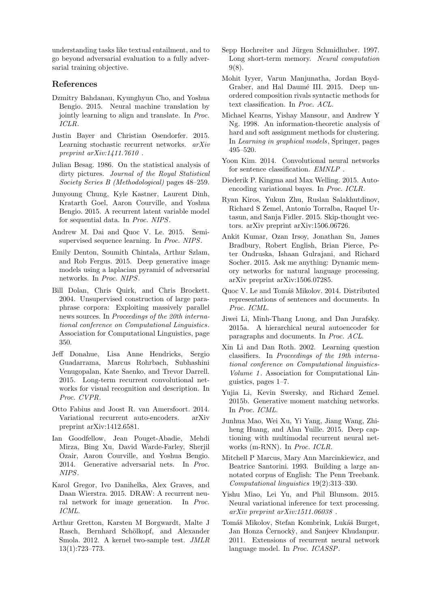understanding tasks like textual entailment, and to go beyond adversarial evaluation to a fully adversarial training objective.

# References

- <span id="page-8-1"></span>Dzmitry Bahdanau, Kyunghyun Cho, and Yoshua Bengio. 2015. Neural machine translation by jointly learning to align and translate. In Proc. ICLR.
- <span id="page-8-13"></span>Justin Bayer and Christian Osendorfer. 2015. Learning stochastic recurrent networks. arXiv preprint arXiv:1411.7610 .
- <span id="page-8-18"></span>Julian Besag. 1986. On the statistical analysis of dirty pictures. Journal of the Royal Statistical Society Series B (Methodological) pages 48–259.
- <span id="page-8-5"></span>Junyoung Chung, Kyle Kastner, Laurent Dinh, Kratarth Goel, Aaron Courville, and Yoshua Bengio. 2015. A recurrent latent variable model for sequential data. In Proc. NIPS.
- <span id="page-8-7"></span>Andrew M. Dai and Quoc V. Le. 2015. Semisupervised sequence learning. In Proc. NIPS.
- <span id="page-8-22"></span>Emily Denton, Soumith Chintala, Arthur Szlam, and Rob Fergus. 2015. Deep generative image models using a laplacian pyramid of adversarial networks. In Proc. NIPS.
- <span id="page-8-24"></span>Bill Dolan, Chris Quirk, and Chris Brockett. 2004. Unsupervised construction of large paraphrase corpora: Exploiting massively parallel news sources. In Proceedings of the 20th international conference on Computational Linguistics. Association for Computational Linguistics, page 350.
- <span id="page-8-3"></span>Jeff Donahue, Lisa Anne Hendricks, Sergio Guadarrama, Marcus Rohrbach, Subhashini Venugopalan, Kate Saenko, and Trevor Darrell. 2015. Long-term recurrent convolutional networks for visual recognition and description. In Proc. CVPR.
- <span id="page-8-12"></span>Otto Fabius and Joost R. van Amersfoort. 2014. Variational recurrent auto-encoders. arXiv preprint arXiv:1412.6581.
- <span id="page-8-20"></span>Ian Goodfellow, Jean Pouget-Abadie, Mehdi Mirza, Bing Xu, David Warde-Farley, Sherjil Ozair, Aaron Courville, and Yoshua Bengio. 2014. Generative adversarial nets. In Proc. NIPS.
- <span id="page-8-4"></span>Karol Gregor, Ivo Danihelka, Alex Graves, and Daan Wierstra. 2015. DRAW: A recurrent neural network for image generation. In Proc. ICML.
- <span id="page-8-23"></span>Arthur Gretton, Karsten M Borgwardt, Malte J Rasch, Bernhard Schölkopf, and Alexander Smola. 2012. A kernel two-sample test. JMLR 13(1):723–773.
- <span id="page-8-11"></span>Sepp Hochreiter and Jürgen Schmidhuber. 1997. Long short-term memory. Neural computation 9(8).
- <span id="page-8-16"></span>Mohit Iyyer, Varun Manjunatha, Jordan Boyd-Graber, and Hal Daumé III. 2015. Deep unordered composition rivals syntactic methods for text classification. In Proc. ACL.
- <span id="page-8-19"></span>Michael Kearns, Yishay Mansour, and Andrew Y Ng. 1998. An information-theoretic analysis of hard and soft assignment methods for clustering. In Learning in graphical models, Springer, pages 495–520.
- <span id="page-8-26"></span>Yoon Kim. 2014. Convolutional neural networks for sentence classification. EMNLP .
- <span id="page-8-6"></span>Diederik P. Kingma and Max Welling. 2015. Autoencoding variational bayes. In Proc. ICLR.
- <span id="page-8-9"></span>Ryan Kiros, Yukun Zhu, Ruslan Salakhutdinov, Richard S Zemel, Antonio Torralba, Raquel Urtasun, and Sanja Fidler. 2015. Skip-thought vectors. arXiv preprint arXiv:1506.06726.
- <span id="page-8-17"></span>Ankit Kumar, Ozan Irsoy, Jonathan Su, James Bradbury, Robert English, Brian Pierce, Peter Ondruska, Ishaan Gulrajani, and Richard Socher. 2015. Ask me anything: Dynamic memory networks for natural language processing. arXiv preprint arXiv:1506.07285.
- <span id="page-8-10"></span>Quoc V. Le and Tomáš Mikolov. 2014. Distributed representations of sentences and documents. In Proc. ICML.
- <span id="page-8-8"></span>Jiwei Li, Minh-Thang Luong, and Dan Jurafsky. 2015a. A hierarchical neural autoencoder for paragraphs and documents. In Proc. ACL.
- <span id="page-8-25"></span>Xin Li and Dan Roth. 2002. Learning question classifiers. In Proceedings of the 19th international conference on Computational linguistics-Volume 1. Association for Computational Linguistics, pages 1–7.
- <span id="page-8-21"></span>Yujia Li, Kevin Swersky, and Richard Zemel. 2015b. Generative moment matching networks. In Proc. ICML.
- <span id="page-8-2"></span>Junhua Mao, Wei Xu, Yi Yang, Jiang Wang, Zhiheng Huang, and Alan Yuille. 2015. Deep captioning with multimodal recurrent neural networks (m-RNN). In Proc. ICLR.
- <span id="page-8-15"></span>Mitchell P Marcus, Mary Ann Marcinkiewicz, and Beatrice Santorini. 1993. Building a large annotated corpus of English: The Penn Treebank. Computational linguistics 19(2):313–330.
- <span id="page-8-14"></span>Yishu Miao, Lei Yu, and Phil Blunsom. 2015. Neural variational inference for text processing. arXiv preprint arXiv:1511.06038 .
- <span id="page-8-0"></span>Tomáš Mikolov, Stefan Kombrink, Lukáš Burget, Jan Honza Černockỳ, and Sanjeev Khudanpur. 2011. Extensions of recurrent neural network language model. In Proc. ICASSP.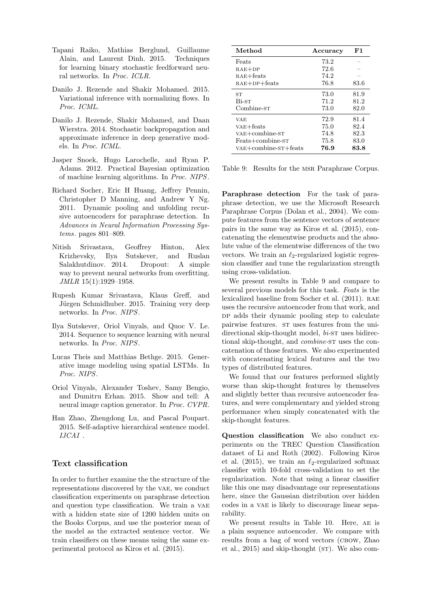- <span id="page-9-3"></span>Tapani Raiko, Mathias Berglund, Guillaume Alain, and Laurent Dinh. 2015. Techniques for learning binary stochastic feedforward neural networks. In Proc. ICLR.
- <span id="page-9-5"></span>Danilo J. Rezende and Shakir Mohamed. 2015. Variational inference with normalizing flows. In Proc. ICML.
- <span id="page-9-2"></span>Danilo J. Rezende, Shakir Mohamed, and Daan Wierstra. 2014. Stochastic backpropagation and approximate inference in deep generative models. In Proc. ICML.
- <span id="page-9-11"></span>Jasper Snoek, Hugo Larochelle, and Ryan P. Adams. 2012. Practical Bayesian optimization of machine learning algorithms. In Proc. NIPS.
- <span id="page-9-9"></span>Richard Socher, Eric H Huang, Jeffrey Pennin, Christopher D Manning, and Andrew Y Ng. 2011. Dynamic pooling and unfolding recursive autoencoders for paraphrase detection. In Advances in Neural Information Processing Systems. pages 801–809.
- <span id="page-9-7"></span>Nitish Srivastava, Geoffrey Hinton, Alex Krizhevsky, Ilya Sutskever, and Ruslan Salakhutdinov. 2014. Dropout: A simple way to prevent neural networks from overfitting. JMLR 15(1):1929–1958.
- <span id="page-9-4"></span>Rupesh Kumar Srivastava, Klaus Greff, and Jürgen Schmidhuber. 2015. Training very deep networks. In Proc. NIPS.
- <span id="page-9-0"></span>Ilya Sutskever, Oriol Vinyals, and Quoc V. Le. 2014. Sequence to sequence learning with neural networks. In Proc. NIPS.
- <span id="page-9-6"></span>Lucas Theis and Matthias Bethge. 2015. Generative image modeling using spatial LSTMs. In Proc. NIPS.
- <span id="page-9-1"></span>Oriol Vinyals, Alexander Toshev, Samy Bengio, and Dumitru Erhan. 2015. Show and tell: A neural image caption generator. In Proc. CVPR.
- <span id="page-9-10"></span>Han Zhao, Zhengdong Lu, and Pascal Poupart. 2015. Self-adaptive hierarchical sentence model. IJCAI .

# Text classification

In order to further examine the the structure of the representations discovered by the VAE, we conduct classification experiments on paraphrase detection and question type classification. We train a vae with a hidden state size of 1200 hidden units on the Books Corpus, and use the posterior mean of the model as the extracted sentence vector. We train classifiers on these means using the same experimental protocol as [Kiros et al.](#page-8-9) [\(2015\)](#page-8-9).

<span id="page-9-8"></span>

| Method                 | Accuracy | F1   |
|------------------------|----------|------|
| Feats                  | 73.2     |      |
| $RAE+DP$               | 72.6     |      |
| $RAE + \text{feats}$   | 74.2     |      |
| $RAE+DP+feats$         | 76.8     | 83.6 |
| ST                     | 73.0     | 81.9 |
| Bi-st                  | 71.2     | 81.2 |
| Combine-sт             | 73.0     | 82.0 |
| VAE                    | 72.9     | 81.4 |
| $VAE + \text{feats}$   | 75.0     | 82.4 |
| $VAE+combine-ST$       | 74.8     | 82.3 |
| Feats+combine-ST       | 75.8     | 83.0 |
| $VAE+combine-ST+feats$ | 76.9     | 83.8 |

Table 9: Results for the msr Paraphrase Corpus.

Paraphrase detection For the task of paraphrase detection, we use the Microsoft Research Paraphrase Corpus [\(Dolan et al.,](#page-8-24) [2004\)](#page-8-24). We compute features from the sentence vectors of sentence pairs in the same way as [Kiros et al.](#page-8-9) [\(2015\)](#page-8-9), concatenating the elementwise products and the absolute value of the elementwise differences of the two vectors. We train an  $\ell_2$ -regularized logistic regression classifier and tune the regularization strength using cross-validation.

We present results in Table [9](#page-9-8) and compare to several previous models for this task. Feats is the lexicalized baseline from [Socher et al.](#page-9-9) [\(2011\)](#page-9-9). RAE uses the recursive autoencoder from that work, and DP adds their dynamic pooling step to calculate pairwise features. ST uses features from the unidirectional skip-thought model,  $bi$ -s $T$  uses bidirectional skip-thought, and *combine*-st uses the concatenation of those features. We also experimented with concatenating lexical features and the two types of distributed features.

We found that our features performed slightly worse than skip-thought features by themselves and slightly better than recursive autoencoder features, and were complementary and yielded strong performance when simply concatenated with the skip-thought features.

Question classification We also conduct experiments on the TREC Question Classification dataset of [Li and Roth](#page-8-25) [\(2002\)](#page-8-25). Following [Kiros](#page-8-9) [et al.](#page-8-9) [\(2015\)](#page-8-9), we train an  $\ell_2$ -regularized softmax classifier with 10-fold cross-validation to set the regularization. Note that using a linear classifier like this one may disadvantage our representations here, since the Gaussian distribution over hidden codes in a vae is likely to discourage linear separability.

We present results in Table [10.](#page-10-0) Here, AE is a plain sequence autoencoder. We compare with results from a bag of word vectors (CBOW, [Zhao](#page-9-10) [et al.,](#page-9-10)  $2015$ ) and skip-thought ( $ST$ ). We also com-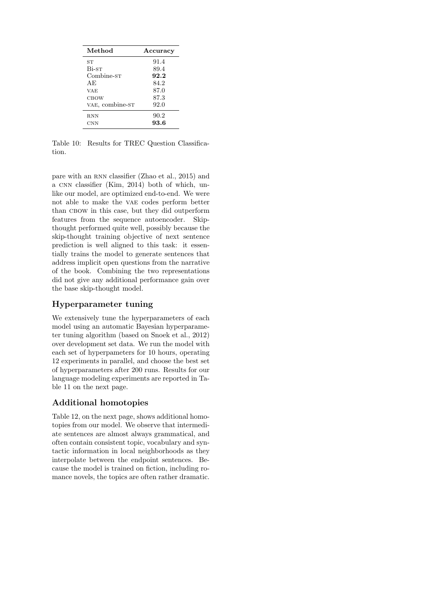<span id="page-10-0"></span>

| Method          | Accuracy |
|-----------------|----------|
| ST              | 91.4     |
| Bi-st           | 89.4     |
| Combine-sт      | 92.2     |
| ΑE              | 84.2     |
| VAE             | 87.0     |
| CBOW            | 87.3     |
| VAE, combine-ST | 92.0     |
| <b>RNN</b>      | 90.2     |
| CNN             | 93.6     |

Table 10: Results for TREC Question Classification.

pare with an rnn classifier [\(Zhao et al.,](#page-9-10) [2015\)](#page-9-10) and a cnn classifier [\(Kim,](#page-8-26) [2014\)](#page-8-26) both of which, unlike our model, are optimized end-to-end. We were not able to make the vae codes perform better than CBOW in this case, but they did outperform features from the sequence autoencoder. Skipthought performed quite well, possibly because the skip-thought training objective of next sentence prediction is well aligned to this task: it essentially trains the model to generate sentences that address implicit open questions from the narrative of the book. Combining the two representations did not give any additional performance gain over the base skip-thought model.

# Hyperparameter tuning

We extensively tune the hyperparameters of each model using an automatic Bayesian hyperparameter tuning algorithm (based on [Snoek et al.,](#page-9-11) [2012\)](#page-9-11) over development set data. We run the model with each set of hyperpameters for 10 hours, operating 12 experiments in parallel, and choose the best set of hyperparameters after 200 runs. Results for our language modeling experiments are reported in Table [11](#page-11-0) on the next page.

# Additional homotopies

Table [12,](#page-11-1) on the next page, shows additional homotopies from our model. We observe that intermediate sentences are almost always grammatical, and often contain consistent topic, vocabulary and syntactic information in local neighborhoods as they interpolate between the endpoint sentences. Because the model is trained on fiction, including romance novels, the topics are often rather dramatic.